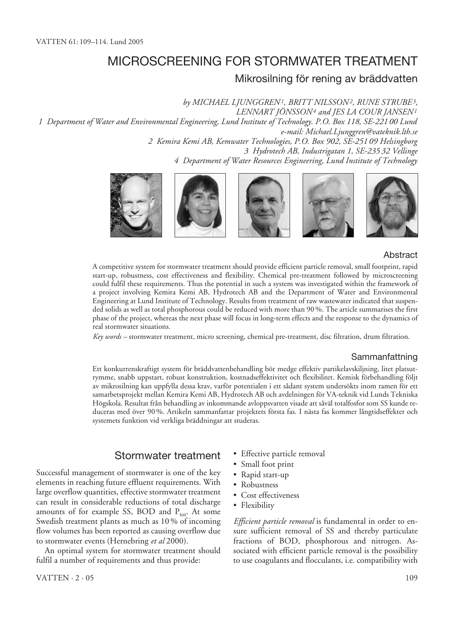# MICROSCREENING FOR STORMWATER TREATMENT

## Mikrosilning för rening av bräddvatten

*by MICHAEL LJUNGGREN1, BRITT NILSSON2, RUNE STRUBE3, LENNART JÖNSSON4 and JES LA COUR JANSEN1 1 Department of Water and Environmental Engineering, Lund Institute of Technology. P.O. Box 118, SE-221 00 Lund e-mail: Michael.Ljunggren@vateknik.lth.se 2 Kemira Kemi AB, Kemwater Technologies, P.O. Box 902, SE-251 09 Helsingborg 3 Hydrotech AB, Industrigatan 1, SE-235 32 Vellinge 4 Department of Water Resources Engineering, Lund Institute of Technology*



#### Abstract

A competitive system for stormwater treatment should provide efficient particle removal, small footprint, rapid start-up, robustness, cost effectiveness and flexibility. Chemical pre-treatment followed by microscreening could fulfil these requirements. Thus the potential in such a system was investigated within the framework of a project involving Kemira Kemi AB, Hydrotech AB and the Department of Water and Environmental Engineering at Lund Institute of Technology. Results from treatment of raw wastewater indicated that suspended solids as well as total phosphorous could be reduced with more than 90 %. The article summarises the first phase of the project, whereas the next phase will focus in long-term effects and the response to the dynamics of real stormwater situations.

*Key words –* stormwater treatment, micro screening, chemical pre-treatment, disc filtration, drum filtration.

#### Sammanfattning

Ett konkurrenskraftigt system för bräddvattenbehandling bör medge effektiv partikelavskiljning, litet platsutrymme, snabb uppstart, robust konstruktion, kostnadseffektivitet och flexibilitet. Kemisk förbehandling följt av mikrosilning kan uppfylla dessa krav, varför potentialen i ett sådant system undersökts inom ramen för ett samarbetsprojekt mellan Kemira Kemi AB, Hydrotech AB och avdelningen för VA-teknik vid Lunds Tekniska Högskola. Resultat från behandling av inkommande avloppsvatten visade att såväl totalfosfor som SS kunde reduceras med över 90 %. Artikeln sammanfattar projektets första fas. I nästa fas kommer långtidseffekter och systemets funktion vid verkliga bräddningar att studeras.

### Stormwater treatment

Successful management of stormwater is one of the key elements in reaching future effluent requirements. With large overflow quantities, effective stormwater treatment can result in considerable reductions of total discharge amounts of for example SS, BOD and  $P_{\text{tot}}$ . At some Swedish treatment plants as much as 10 % of incoming flow volumes has been reported as causing overflow due to stormwater events (Hernebring *et al* 2000).

An optimal system for stormwater treatment should fulfil a number of requirements and thus provide:

- Effective particle removal
- Small foot print
- Rapid start-up
- Robustness
- Cost effectiveness
- Flexibility

*Efficient particle removal* is fundamental in order to ensure sufficient removal of SS and thereby particulate fractions of BOD, phosphorous and nitrogen. Associated with efficient particle removal is the possibility to use coagulants and flocculants, i.e. compatibility with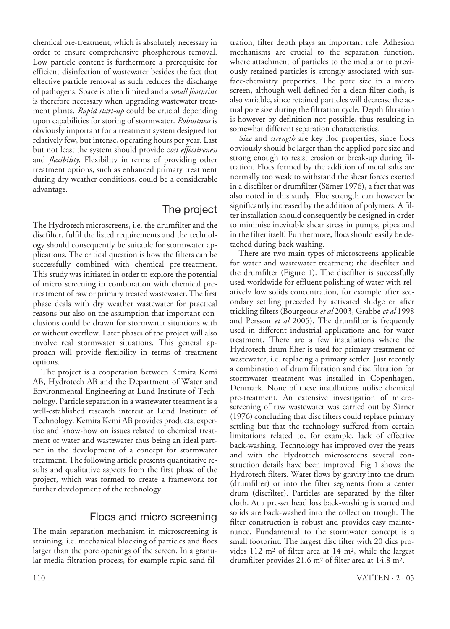chemical pre-treatment, which is absolutely necessary in order to ensure comprehensive phosphorous removal. Low particle content is furthermore a prerequisite for efficient disinfection of wastewater besides the fact that effective particle removal as such reduces the discharge of pathogens. Space is often limited and a *small footprint* is therefore necessary when upgrading wastewater treatment plants. *Rapid start-up* could be crucial depending upon capabilities for storing of stormwater. *Robustness* is obviously important for a treatment system designed for relatively few, but intense, operating hours per year. Last but not least the system should provide c*ost effectiveness* and *flexibility*. Flexibility in terms of providing other treatment options, such as enhanced primary treatment during dry weather conditions, could be a considerable advantage.

# The project

The Hydrotech microscreens, i.e. the drumfilter and the discfilter, fulfil the listed requirements and the technology should consequently be suitable for stormwater applications. The critical question is how the filters can be successfully combined with chemical pre-treatment. This study was initiated in order to explore the potential of micro screening in combination with chemical pretreatment of raw or primary treated wastewater. The first phase deals with dry weather wastewater for practical reasons but also on the assumption that important conclusions could be drawn for stormwater situations with or without overflow. Later phases of the project will also involve real stormwater situations. This general approach will provide flexibility in terms of treatment options.

The project is a cooperation between Kemira Kemi AB, Hydrotech AB and the Department of Water and Environmental Engineering at Lund Institute of Technology. Particle separation in a wastewater treatment is a well-established research interest at Lund Institute of Technology. Kemira Kemi AB provides products, expertise and know-how on issues related to chemical treatment of water and wastewater thus being an ideal partner in the development of a concept for stormwater treatment. The following article presents quantitative results and qualitative aspects from the first phase of the project, which was formed to create a framework for further development of the technology.

### Flocs and micro screening

The main separation mechanism in microscreening is straining, i.e. mechanical blocking of particles and flocs larger than the pore openings of the screen. In a granular media filtration process, for example rapid sand filtration, filter depth plays an important role. Adhesion mechanisms are crucial to the separation function, where attachment of particles to the media or to previously retained particles is strongly associated with surface-chemistry properties. The pore size in a micro screen, although well-defined for a clean filter cloth, is also variable, since retained particles will decrease the actual pore size during the filtration cycle. Depth filtration is however by definition not possible, thus resulting in somewhat different separation characteristics.

*Size* and *strength* are key floc properties, since flocs obviously should be larger than the applied pore size and strong enough to resist erosion or break-up during filtration. Flocs formed by the addition of metal salts are normally too weak to withstand the shear forces exerted in a discfilter or drumfilter (Särner 1976), a fact that was also noted in this study. Floc strength can however be significantly increased by the addition of polymers. A filter installation should consequently be designed in order to minimise inevitable shear stress in pumps, pipes and in the filter itself. Furthermore, flocs should easily be detached during back washing.

There are two main types of microscreens applicable for water and wastewater treatment; the discfilter and the drumfilter (Figure 1). The discfilter is successfully used worldwide for effluent polishing of water with relatively low solids concentration, for example after secondary settling preceded by activated sludge or after trickling filters (Bourgeous *et al* 2003, Grabbe *et al* 1998 and Persson *et al* 2005). The drumfilter is frequently used in different industrial applications and for water treatment. There are a few installations where the Hydrotech drum filter is used for primary treatment of wastewater, i.e. replacing a primary settler. Just recently a combination of drum filtration and disc filtration for stormwater treatment was installed in Copenhagen, Denmark. None of these installations utilise chemical pre-treatment. An extensive investigation of microscreening of raw wastewater was carried out by Särner (1976) concluding that disc filters could replace primary settling but that the technology suffered from certain limitations related to, for example, lack of effective back-washing. Technology has improved over the years and with the Hydrotech microscreens several construction details have been improved. Fig 1 shows the Hydrotech filters. Water flows by gravity into the drum (drumfilter) or into the filter segments from a center drum (discfilter). Particles are separated by the filter cloth. At a pre-set head loss back-washing is started and solids are back-washed into the collection trough. The filter construction is robust and provides easy maintenance. Fundamental to the stormwater concept is a small footprint. The largest disc filter with 20 dics provides 112 m2 of filter area at 14 m2, while the largest drumfilter provides 21.6 m2 of filter area at 14.8 m2.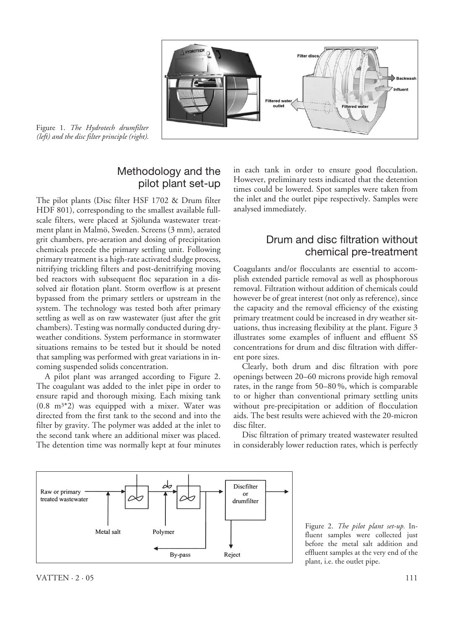

Figure 1. *The Hydrotech drumfilter (left) and the disc filter principle (right).*

# Methodology and the pilot plant set-up

The pilot plants (Disc filter HSF 1702 & Drum filter HDF 801), corresponding to the smallest available fullscale filters, were placed at Sjölunda wastewater treatment plant in Malmö, Sweden. Screens (3 mm), aerated grit chambers, pre-aeration and dosing of precipitation chemicals precede the primary settling unit. Following primary treatment is a high-rate activated sludge process, nitrifying trickling filters and post-denitrifying moving bed reactors with subsequent floc separation in a dissolved air flotation plant. Storm overflow is at present bypassed from the primary settlers or upstream in the system. The technology was tested both after primary settling as well as on raw wastewater (just after the grit chambers). Testing was normally conducted during dryweather conditions. System performance in stormwater situations remains to be tested but it should be noted that sampling was performed with great variations in incoming suspended solids concentration.

A pilot plant was arranged according to Figure 2. The coagulant was added to the inlet pipe in order to ensure rapid and thorough mixing. Each mixing tank (0.8 m3\*2) was equipped with a mixer. Water was directed from the first tank to the second and into the filter by gravity. The polymer was added at the inlet to the second tank where an additional mixer was placed. The detention time was normally kept at four minutes in each tank in order to ensure good flocculation. However, preliminary tests indicated that the detention times could be lowered. Spot samples were taken from the inlet and the outlet pipe respectively. Samples were analysed immediately.

# Drum and disc filtration without chemical pre-treatment

Coagulants and/or flocculants are essential to accomplish extended particle removal as well as phosphorous removal. Filtration without addition of chemicals could however be of great interest (not only as reference), since the capacity and the removal efficiency of the existing primary treatment could be increased in dry weather situations, thus increasing flexibility at the plant. Figure 3 illustrates some examples of influent and effluent SS concentrations for drum and disc filtration with different pore sizes.

Clearly, both drum and disc filtration with pore openings between 20–60 microns provide high removal rates, in the range from 50–80 %, which is comparable to or higher than conventional primary settling units without pre-precipitation or addition of flocculation aids. The best results were achieved with the 20-micron disc filter.

Disc filtration of primary treated wastewater resulted in considerably lower reduction rates, which is perfectly

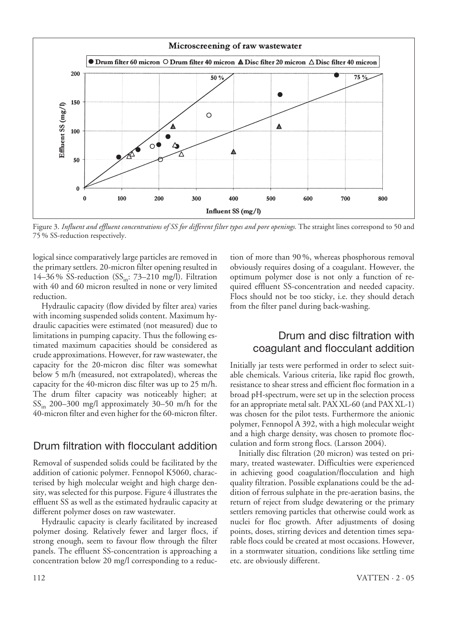

Figure 3. *Influent and effluent concentrations of SS for different filter types and pore openings.* The straight lines correspond to 50 and 75 % SS-reduction respectively.

logical since comparatively large particles are removed in the primary settlers. 20-micron filter opening resulted in 14–36% SS-reduction  $(SS<sub>in</sub>: 73–210 mg/l)$ . Filtration with 40 and 60 micron resulted in none or very limited reduction.

Hydraulic capacity (flow divided by filter area) varies with incoming suspended solids content. Maximum hydraulic capacities were estimated (not measured) due to limitations in pumping capacity. Thus the following estimated maximum capacities should be considered as crude approximations. However, for raw wastewater, the capacity for the 20-micron disc filter was somewhat below 5 m/h (measured, not extrapolated), whereas the capacity for the 40-micron disc filter was up to 25 m/h. The drum filter capacity was noticeably higher; at SS<sub>in</sub> 200-300 mg/l approximately 30-50 m/h for the 40-micron filter and even higher for the 60-micron filter.

### Drum filtration with flocculant addition

Removal of suspended solids could be facilitated by the addition of cationic polymer. Fennopol K5060, characterised by high molecular weight and high charge density, was selected for this purpose. Figure 4 illustrates the effluent SS as well as the estimated hydraulic capacity at different polymer doses on raw wastewater.

Hydraulic capacity is clearly facilitated by increased polymer dosing. Relatively fewer and larger flocs, if strong enough, seem to favour flow through the filter panels. The effluent SS-concentration is approaching a concentration below 20 mg/l corresponding to a reduction of more than 90 %, whereas phosphorous removal obviously requires dosing of a coagulant. However, the optimum polymer dose is not only a function of required effluent SS-concentration and needed capacity. Flocs should not be too sticky, i.e. they should detach from the filter panel during back-washing.

# Drum and disc filtration with coagulant and flocculant addition

Initially jar tests were performed in order to select suitable chemicals. Various criteria, like rapid floc growth, resistance to shear stress and efficient floc formation in a broad pH-spectrum, were set up in the selection process for an appropriate metal salt. PAX XL-60 (and PAX XL-1) was chosen for the pilot tests. Furthermore the anionic polymer, Fennopol A 392, with a high molecular weight and a high charge density, was chosen to promote flocculation and form strong flocs. (Larsson 2004).

Initially disc filtration (20 micron) was tested on primary, treated wastewater. Difficulties were experienced in achieving good coagulation/flocculation and high quality filtration. Possible explanations could be the addition of ferrous sulphate in the pre-aeration basins, the return of reject from sludge dewatering or the primary settlers removing particles that otherwise could work as nuclei for floc growth. After adjustments of dosing points, doses, stirring devices and detention times separable flocs could be created at most occasions. However, in a stormwater situation, conditions like settling time etc. are obviously different.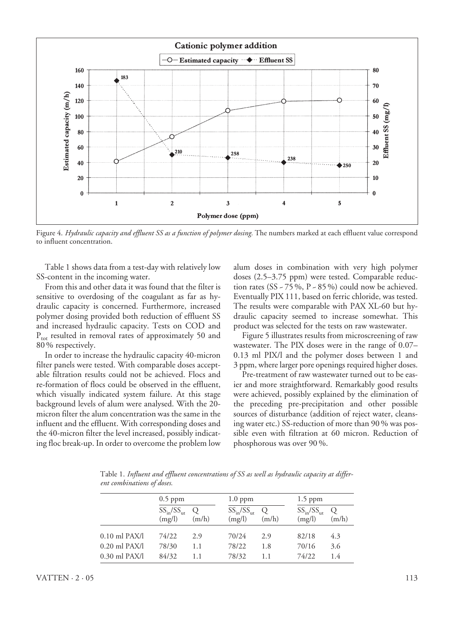

Figure 4. *Hydraulic capacity and effluent SS as a function of polymer dosing.* The numbers marked at each effluent value correspond to influent concentration.

Table 1 shows data from a test-day with relatively low SS-content in the incoming water.

From this and other data it was found that the filter is sensitive to overdosing of the coagulant as far as hydraulic capacity is concerned. Furthermore, increased polymer dosing provided both reduction of effluent SS and increased hydraulic capacity. Tests on COD and  $P_{\text{tot}}$  resulted in removal rates of approximately 50 and 80 % respectively.

In order to increase the hydraulic capacity 40-micron filter panels were tested. With comparable doses acceptable filtration results could not be achieved. Flocs and re-formation of flocs could be observed in the effluent, which visually indicated system failure. At this stage background levels of alum were analysed. With the 20 micron filter the alum concentration was the same in the influent and the effluent. With corresponding doses and the 40-micron filter the level increased, possibly indicating floc break-up. In order to overcome the problem low

alum doses in combination with very high polymer doses (2.5–3.75 ppm) were tested. Comparable reduction rates (SS  $\sim$  75 %, P  $\sim$  85 %) could now be achieved. Eventually PIX 111, based on ferric chloride, was tested. The results were comparable with PAX XL-60 but hydraulic capacity seemed to increase somewhat. This product was selected for the tests on raw wastewater.

Figure 5 illustrates results from microscreening of raw wastewater. The PIX doses were in the range of 0.07– 0.13 ml PIX/l and the polymer doses between 1 and 3 ppm, where larger pore openings required higher doses.

Pre-treatment of raw wastewater turned out to be easier and more straightforward. Remarkably good results were achieved, possibly explained by the elimination of the preceding pre-precipitation and other possible sources of disturbance (addition of reject water, cleansing water etc.) SS-reduction of more than 90 % was possible even with filtration at 60 micron. Reduction of phosphorous was over 90 %.

Table 1. *Influent and effluent concentrations of SS as well as hydraulic capacity at different combinations of doses.*

|                   | $0.5$ ppm                    |                  | $1.0$ ppm                   |            | $1.5$ ppm                   |                  |
|-------------------|------------------------------|------------------|-----------------------------|------------|-----------------------------|------------------|
|                   | $SS_{in}/SS_{out}$<br>(mg/l) | $\circ$<br>(m/h) | $SS_{in}/SS_{in}$<br>(mg/l) | O<br>(m/h) | $SS_{in}/SS_{in}$<br>(mg/l) | $\circ$<br>(m/h) |
| $0.10$ ml PAX/l   | 74/22                        | 2.9              | 70/24                       | 2.9        | 82/18                       | 4.3              |
| $0.20$ ml $PAX/l$ | 78/30                        | 1.1              | 78/22                       | 1.8        | 70/16                       | 3.6              |
| $0.30$ ml PAX/l   | 84/32                        | 1.1              | 78/32                       | 1.1        | 74/22                       | 1.4              |